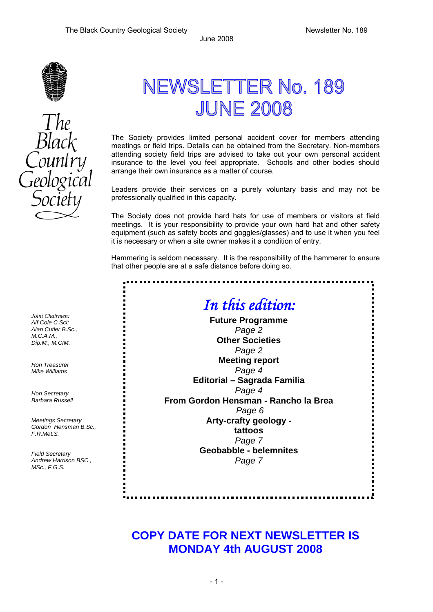

## NEWSLETTER No. 189 **JUNE 2008**

The Society provides limited personal accident cover for members attending meetings or field trips. Details can be obtained from the Secretary. Non-members attending society field trips are advised to take out your own personal accident insurance to the level you feel appropriate. Schools and other bodies should arrange their own insurance as a matter of course.

Leaders provide their services on a purely voluntary basis and may not be professionally qualified in this capacity.

The Society does not provide hard hats for use of members or visitors at field meetings. It is your responsibility to provide your own hard hat and other safety equipment (such as safety boots and goggles/glasses) and to use it when you feel it is necessary or when a site owner makes it a condition of entry.

Hammering is seldom necessary. It is the responsibility of the hammerer to ensure that other people are at a safe distance before doing so.

**............** 

## *In this edition:*

**Future Programme**  *Page 2*  **Other Societies** *Page 2*  **Meeting report**  *Page 4*  **Editorial – Sagrada Familia**  *Page 4*  **From Gordon Hensman - Rancho la Brea** *Page 6*  **Arty-crafty geology tattoos**  *Page 7*  **Geobabble - belemnites**  *Page 7* 

## **COPY DATE FOR NEXT NEWSLETTER IS MONDAY 4th AUGUST 2008**

*Joint Chairmen: Alf Cole C.Sci; Alan Cutler B.Sc., M.C.A.M., Dip.M., M.CIM.* 

*Hon Treasurer Mike Williams* 

*Hon Secretary Barbara Russell* 

*Meetings Secretary Gordon Hensman B.Sc., F.R.Met.S.* 

*Field Secretary Andrew Harrison BSC., MSc., F.G.S.*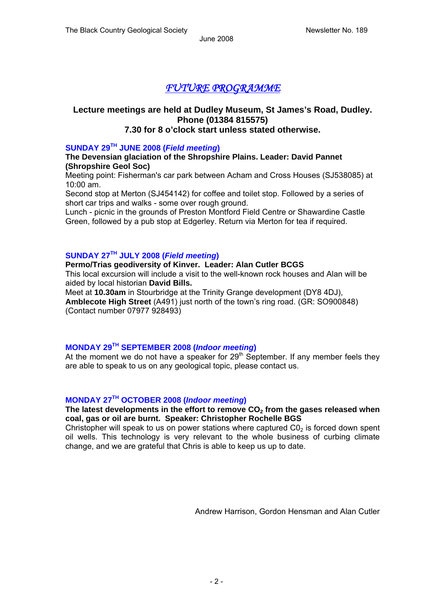## *FUTURE PROGRAMME*

## **Lecture meetings are held at Dudley Museum, St James's Road, Dudley. Phone (01384 815575)**

## **7.30 for 8 o'clock start unless stated otherwise.**

### **SUNDAY 29TH JUNE 2008 (***Field meeting***)**

**The Devensian glaciation of the Shropshire Plains. Leader: David Pannet (Shropshire Geol Soc)** 

Meeting point: Fisherman's car park between Acham and Cross Houses (SJ538085) at 10:00 am.

Second stop at Merton (SJ454142) for coffee and toilet stop. Followed by a series of short car trips and walks - some over rough ground.

Lunch - picnic in the grounds of Preston Montford Field Centre or Shawardine Castle Green, followed by a pub stop at Edgerley. Return via Merton for tea if required.

### **SUNDAY 27TH JULY 2008 (***Field meeting***)**

## **Permo/Trias geodiversity of Kinver. Leader: Alan Cutler BCGS**

This local excursion will include a visit to the well-known rock houses and Alan will be aided by local historian **David Bills.**

Meet at **10.30am** in Stourbridge at the Trinity Grange development (DY8 4DJ), **Amblecote High Street** (A491) just north of the town's ring road. (GR: SO900848) (Contact number 07977 928493)

## **MONDAY 29TH SEPTEMBER 2008 (***Indoor meeting***)**

At the moment we do not have a speaker for  $29<sup>th</sup>$  September. If any member feels they are able to speak to us on any geological topic, please contact us.

## **MONDAY 27TH OCTOBER 2008 (***Indoor meeting***)**

### The latest developments in the effort to remove CO<sub>2</sub> from the gases released when **coal, gas or oil are burnt. Speaker: Christopher Rochelle BGS**

Christopher will speak to us on power stations where captured  $CO<sub>2</sub>$  is forced down spent oil wells. This technology is very relevant to the whole business of curbing climate change, and we are grateful that Chris is able to keep us up to date.

Andrew Harrison, Gordon Hensman and Alan Cutler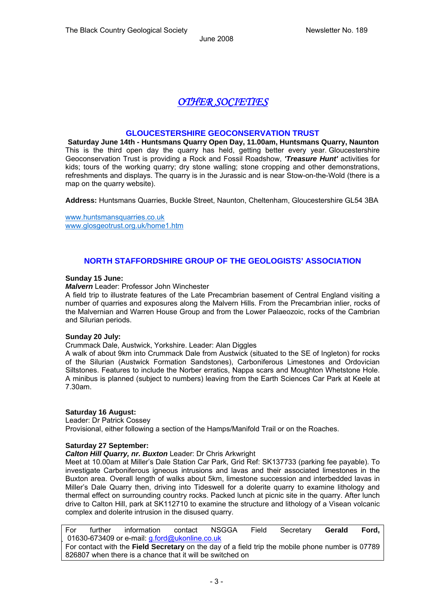## *OTHER SOCIETIES*

### **GLOUCESTERSHIRE GEOCONSERVATION TRUST**

**Saturday June 14th - Huntsmans Quarry Open Day, 11.00am, Huntsmans Quarry, Naunton** This is the third open day the quarry has held, getting better every year. Gloucestershire Geoconservation Trust is providing a Rock and Fossil Roadshow, *'Treasure Hunt'* activities for kids; tours of the working quarry; dry stone walling; stone cropping and other demonstrations, refreshments and displays. The quarry is in the Jurassic and is near Stow-on-the-Wold (there is a map on the quarry website).

**Address:** Huntsmans Quarries, Buckle Street, Naunton, Cheltenham, Gloucestershire GL54 3BA

www.huntsmansquarries.co.uk www.glosgeotrust.org.uk/home1.htm

### **NORTH STAFFORDSHIRE GROUP OF THE GEOLOGISTS' ASSOCIATION**

#### **Sunday 15 June:**

*Malvern* Leader: Professor John Winchester

A field trip to illustrate features of the Late Precambrian basement of Central England visiting a number of quarries and exposures along the Malvern Hills. From the Precambrian inlier, rocks of the Malvernian and Warren House Group and from the Lower Palaeozoic, rocks of the Cambrian and Silurian periods.

#### **Sunday 20 July:**

Crummack Dale, Austwick, Yorkshire. Leader: Alan Diggles

A walk of about 9km into Crummack Dale from Austwick (situated to the SE of Ingleton) for rocks of the Silurian (Austwick Formation Sandstones), Carboniferous Limestones and Ordovician Siltstones. Features to include the Norber erratics, Nappa scars and Moughton Whetstone Hole. A minibus is planned (subject to numbers) leaving from the Earth Sciences Car Park at Keele at 7.30am.

#### **Saturday 16 August:**

Leader: Dr Patrick Cossey

Provisional, either following a section of the Hamps/Manifold Trail or on the Roaches.

#### **Saturday 27 September:**

#### *Calton Hill Quarry, nr. Buxton* Leader: Dr Chris Arkwright

Meet at 10.00am at Miller's Dale Station Car Park, Grid Ref: SK137733 (parking fee payable). To investigate Carboniferous igneous intrusions and lavas and their associated limestones in the Buxton area. Overall length of walks about 5km, limestone succession and interbedded lavas in Miller's Dale Quarry then, driving into Tideswell for a dolerite quarry to examine lithology and thermal effect on surrounding country rocks. Packed lunch at picnic site in the quarry. After lunch drive to Calton Hill, park at SK112710 to examine the structure and lithology of a Visean volcanic complex and dolerite intrusion in the disused quarry.

For further information contact NSGGA Field Secretary **Gerald Ford,**  01630-673409 or e-mail: g.ford@ukonline.co.uk For contact with the **Field Secretary** on the day of a field trip the mobile phone number is 07789 826807 when there is a chance that it will be switched on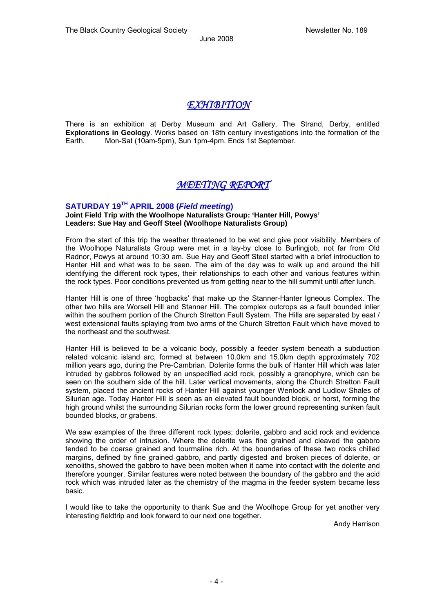## *EXHIBITION*

There is an exhibition at Derby Museum and Art Gallery, The Strand, Derby, entitled **Explorations in Geology**. Works based on 18th century investigations into the formation of the Earth. Mon-Sat (10am-5pm), Sun 1pm-4pm. Ends 1st September.

## *MEETING REPORT*

## **SATURDAY 19TH APRIL 2008 (***Field meeting***)**

#### **Joint Field Trip with the Woolhope Naturalists Group: 'Hanter Hill, Powys' Leaders: Sue Hay and Geoff Steel (Woolhope Naturalists Group)**

From the start of this trip the weather threatened to be wet and give poor visibility. Members of the Woolhope Naturalists Group were met in a lay-by close to Burlingjob, not far from Old Radnor, Powys at around 10:30 am. Sue Hay and Geoff Steel started with a brief introduction to Hanter Hill and what was to be seen. The aim of the day was to walk up and around the hill identifying the different rock types, their relationships to each other and various features within the rock types. Poor conditions prevented us from getting near to the hill summit until after lunch.

Hanter Hill is one of three 'hogbacks' that make up the Stanner-Hanter Igneous Complex. The other two hills are Worsell Hill and Stanner Hill. The complex outcrops as a fault bounded inlier within the southern portion of the Church Stretton Fault System. The Hills are separated by east / west extensional faults splaying from two arms of the Church Stretton Fault which have moved to the northeast and the southwest.

Hanter Hill is believed to be a volcanic body, possibly a feeder system beneath a subduction related volcanic island arc, formed at between 10.0km and 15.0km depth approximately 702 million years ago, during the Pre-Cambrian. Dolerite forms the bulk of Hanter Hill which was later intruded by gabbros followed by an unspecified acid rock, possibly a granophyre, which can be seen on the southern side of the hill. Later vertical movements, along the Church Stretton Fault system, placed the ancient rocks of Hanter Hill against younger Wenlock and Ludlow Shales of Silurian age. Today Hanter Hill is seen as an elevated fault bounded block, or horst, forming the high ground whilst the surrounding Silurian rocks form the lower ground representing sunken fault bounded blocks, or grabens.

We saw examples of the three different rock types; dolerite, gabbro and acid rock and evidence showing the order of intrusion. Where the dolerite was fine grained and cleaved the gabbro tended to be coarse grained and tourmaline rich. At the boundaries of these two rocks chilled margins, defined by fine grained gabbro, and partly digested and broken pieces of dolerite, or xenoliths, showed the gabbro to have been molten when it came into contact with the dolerite and therefore younger. Similar features were noted between the boundary of the gabbro and the acid rock which was intruded later as the chemistry of the magma in the feeder system became less basic.

I would like to take the opportunity to thank Sue and the Woolhope Group for yet another very interesting fieldtrip and look forward to our next one together.

Andy Harrison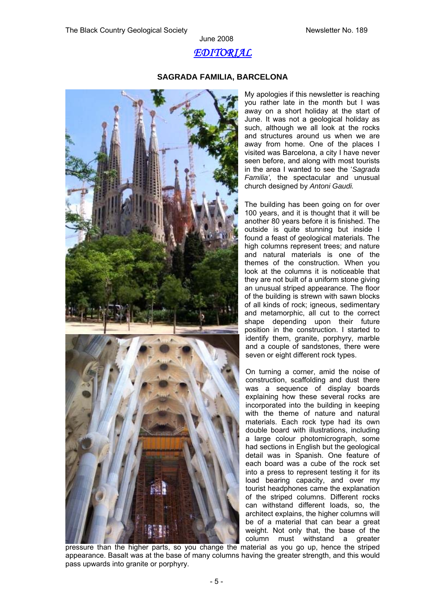## *EDITORIAL*

June 2008

#### **SAGRADA FAMILIA, BARCELONA**



My apologies if this newsletter is reaching you rather late in the month but I was away on a short holiday at the start of June. It was not a geological holiday as such, although we all look at the rocks and structures around us when we are away from home. One of the places I visited was Barcelona, a city I have never seen before, and along with most tourists in the area I wanted to see the '*Sagrada Familia',* the spectacular and unusual church designed by *Antoni Gaudi.* 

The building has been going on for over 100 years, and it is thought that it will be another 80 years before it is finished. The outside is quite stunning but inside I found a feast of geological materials. The high columns represent trees; and nature and natural materials is one of the themes of the construction. When you look at the columns it is noticeable that they are not built of a uniform stone giving an unusual striped appearance. The floor of the building is strewn with sawn blocks of all kinds of rock; igneous, sedimentary and metamorphic, all cut to the correct shape depending upon their future position in the construction. I started to identify them, granite, porphyry, marble and a couple of sandstones, there were seven or eight different rock types.

On turning a corner, amid the noise of construction, scaffolding and dust there was a sequence of display boards explaining how these several rocks are incorporated into the building in keeping with the theme of nature and natural materials. Each rock type had its own double board with illustrations, including a large colour photomicrograph, some had sections in English but the geological detail was in Spanish. One feature of each board was a cube of the rock set into a press to represent testing it for its load bearing capacity, and over my tourist headphones came the explanation of the striped columns. Different rocks can withstand different loads, so, the architect explains, the higher columns will be of a material that can bear a great weight. Not only that, the base of the column must withstand a greater

pressure than the higher parts, so you change the material as you go up, hence the striped appearance. Basalt was at the base of many columns having the greater strength, and this would pass upwards into granite or porphyry.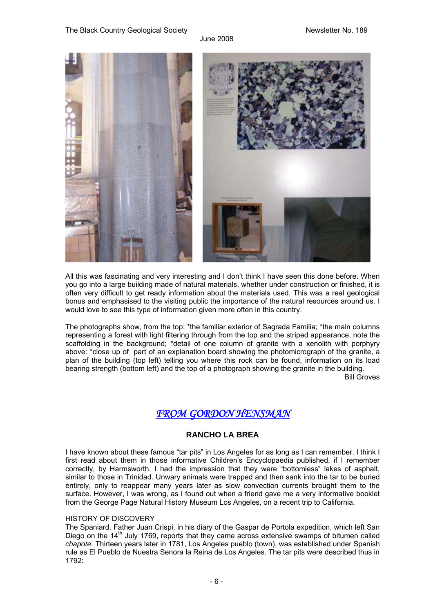

All this was fascinating and very interesting and I don't think I have seen this done before. When you go into a large building made of natural materials, whether under construction or finished, it is often very difficult to get ready information about the materials used. This was a real geological bonus and emphasised to the visiting public the importance of the natural resources around us. I would love to see this type of information given more often in this country.

The photographs show, from the top: \*the familiar exterior of Sagrada Familia; \*the main columns representing a forest with light filtering through from the top and the striped appearance, note the scaffolding in the background; \*detail of one column of granite with a xenolith with porphyry above: \*close up of part of an explanation board showing the photomicrograph of the granite, a plan of the building (top left) telling you where this rock can be found, information on its load bearing strength (bottom left) and the top of a photograph showing the granite in the building. Bill Groves

*FROM GORDON HENSMAN* 

### **RANCHO LA BREA**

I have known about these famous "tar pits" in Los Angeles for as long as I can remember. I think I first read about them in those informative Children's Encyclopaedia published, if I remember correctly, by Harmsworth. I had the impression that they were "bottomless" lakes of asphalt, similar to those in Trinidad. Unwary animals were trapped and then sank into the tar to be buried entirely, only to reappear many years later as slow convection currents brought them to the surface. However, I was wrong, as I found out when a friend gave me a very informative booklet from the George Page Natural History Museum Los Angeles, on a recent trip to California.

### HISTORY OF DISCOVERY

The Spaniard, Father Juan Crispi, in his diary of the Gaspar de Portola expedition, which left San Diego on the  $14<sup>th</sup>$  July 1769, reports that they came across extensive swamps of bitumen called *chapote.* Thirteen years later in 1781, Los Angeles pueblo (town), was established under Spanish rule as El Pueblo de Nuestra Senora la Reina de Los Angeles. The tar pits were described thus in 1792: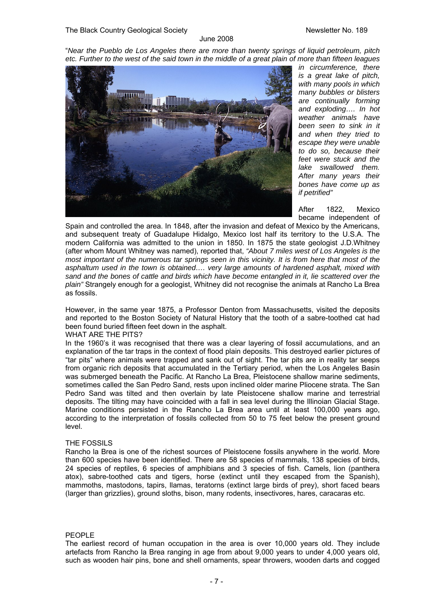"*Near the Pueblo de Los Angeles there are more than twenty springs of liquid petroleum, pitch etc. Further to the west of the said town in the middle of a great plain of more than fifteen leagues* 



*in circumference, there is a great lake of pitch, with many pools in which many bubbles or blisters are continually forming and exploding…. In hot weather animals have been seen to sink in it and when they tried to escape they were unable to do so, because their feet were stuck and the lake swallowed them. After many years their bones have come up as if petrified"* 

After 1822, Mexico became independent of

Spain and controlled the area. In 1848, after the invasion and defeat of Mexico by the Americans, and subsequent treaty of Guadalupe Hidalgo, Mexico lost half its territory to the U.S.A. The modern California was admitted to the union in 1850. In 1875 the state geologist J.D.Whitney (after whom Mount Whitney was named), reported that, *"About 7 miles west of Los Angeles is the most important of the numerous tar springs seen in this vicinity. It is from here that most of the asphaltum used in the town is obtained…. very large amounts of hardened asphalt, mixed with sand and the bones of cattle and birds which have become entangled in it, lie scattered over the plain"* Strangely enough for a geologist, Whitney did not recognise the animals at Rancho La Brea as fossils.

However, in the same year 1875, a Professor Denton from Massachusetts, visited the deposits and reported to the Boston Society of Natural History that the tooth of a sabre-toothed cat had been found buried fifteen feet down in the asphalt.

WHAT ARE THE PITS?

In the 1960's it was recognised that there was a clear layering of fossil accumulations, and an explanation of the tar traps in the context of flood plain deposits. This destroyed earlier pictures of "tar pits" where animals were trapped and sank out of sight. The tar pits are in reality tar seeps from organic rich deposits that accumulated in the Tertiary period, when the Los Angeles Basin was submerged beneath the Pacific. At Rancho La Brea, Pleistocene shallow marine sediments, sometimes called the San Pedro Sand, rests upon inclined older marine Pliocene strata. The San Pedro Sand was tilted and then overlain by late Pleistocene shallow marine and terrestrial deposits. The tilting may have coincided with a fall in sea level during the Illinoian Glacial Stage. Marine conditions persisted in the Rancho La Brea area until at least 100,000 years ago, according to the interpretation of fossils collected from 50 to 75 feet below the present ground level.

#### THE FOSSILS

Rancho la Brea is one of the richest sources of Pleistocene fossils anywhere in the world. More than 600 species have been identified. There are 58 species of mammals, 138 species of birds, 24 species of reptiles, 6 species of amphibians and 3 species of fish. Camels, lion (panthera atox), sabre-toothed cats and tigers, horse (extinct until they escaped from the Spanish), mammoths, mastodons, tapirs, llamas, teratorns (extinct large birds of prey), short faced bears (larger than grizzlies), ground sloths, bison, many rodents, insectivores, hares, caracaras etc.

#### PEOPLE

The earliest record of human occupation in the area is over 10,000 years old. They include artefacts from Rancho la Brea ranging in age from about 9,000 years to under 4,000 years old, such as wooden hair pins, bone and shell ornaments, spear throwers, wooden darts and cogged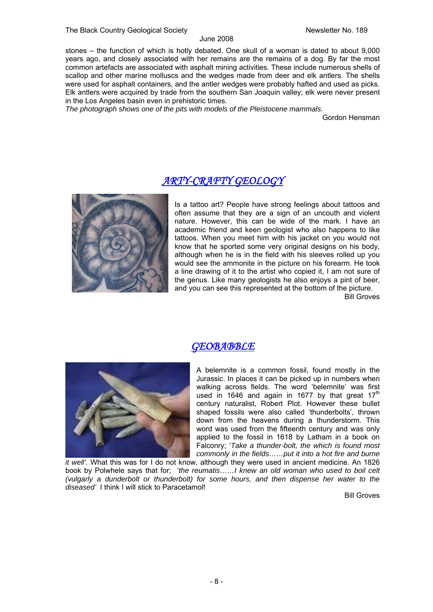stones – the function of which is hotly debated. One skull of a woman is dated to about 9,000 years ago, and closely associated with her remains are the remains of a dog. By far the most common artefacts are associated with asphalt mining activities. These include numerous shells of scallop and other marine molluscs and the wedges made from deer and elk antlers. The shells were used for asphalt containers, and the antler wedges were probably hafted and used as picks. Elk antlers were acquired by trade from the southern San Joaquin valley; elk were never present in the Los Angeles basin even in prehistoric times.

*The photograph shows one of the pits with models of the Pleistocene mammals.* 

Gordon Hensman

## *ARTY-CRAFTY GEOLOGY*



Is a tattoo art? People have strong feelings about tattoos and often assume that they are a sign of an uncouth and violent nature. However, this can be wide of the mark. I have an academic friend and keen geologist who also happens to like tattoos. When you meet him with his jacket on you would not know that he sported some very original designs on his body, although when he is in the field with his sleeves rolled up you would see the ammonite in the picture on his forearm. He took a line drawing of it to the artist who copied it, I am not sure of the genus. Like many geologists he also enjoys a pint of beer, and you can see this represented at the bottom of the picture.

Bill Groves



## *GEOBABBLE*

A belemnite is a common fossil, found mostly in the Jurassic. In places it can be picked up in numbers when walking across fields. The word 'belemnite' was first used in 1646 and again in 1677 by that great  $17<sup>th</sup>$ century naturalist, Robert Plot. However these bullet shaped fossils were also called 'thunderbolts', thrown down from the heavens during a thunderstorm. This word was used from the fifteenth century and was only applied to the fossil in 1618 by Latham in a book on Falconry; '*Take a thunder-bolt, the which is found most commonly in the fields……put it into a hot fire and burne* 

*it well'.* What this was for I do not know, although they were used in ancient medicine. An 1826 book by Polwhele says that for; '*the reumatis……I knew an old woman who used to boil celt (vulgarly a dunderbolt or thunderbolt) for some hours, and then dispense her water to the diseased'* I think I will stick to Paracetamol!

Bill Groves